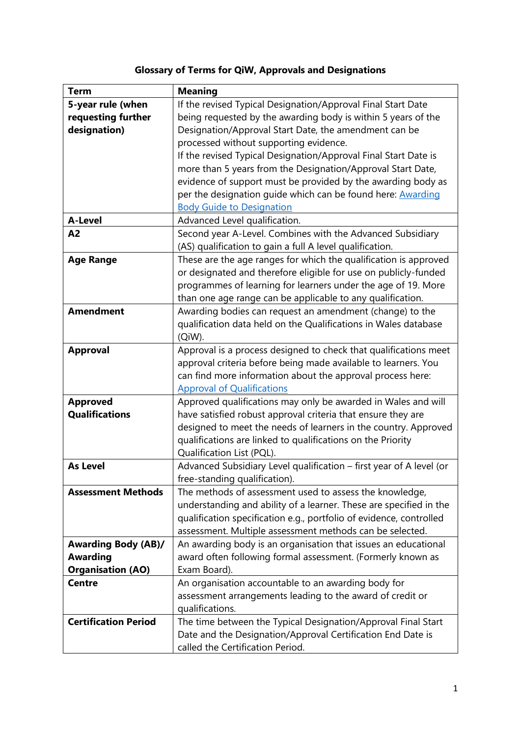## **Glossary of Terms for QiW, Approvals and Designations**

| <b>Term</b>                 | <b>Meaning</b>                                                      |
|-----------------------------|---------------------------------------------------------------------|
| 5-year rule (when           | If the revised Typical Designation/Approval Final Start Date        |
| requesting further          | being requested by the awarding body is within 5 years of the       |
| designation)                | Designation/Approval Start Date, the amendment can be               |
|                             | processed without supporting evidence.                              |
|                             | If the revised Typical Designation/Approval Final Start Date is     |
|                             | more than 5 years from the Designation/Approval Start Date,         |
|                             | evidence of support must be provided by the awarding body as        |
|                             | per the designation guide which can be found here: <b>Awarding</b>  |
|                             | <b>Body Guide to Designation</b>                                    |
| <b>A-Level</b>              | Advanced Level qualification.                                       |
| A2                          | Second year A-Level. Combines with the Advanced Subsidiary          |
|                             | (AS) qualification to gain a full A level qualification.            |
| <b>Age Range</b>            | These are the age ranges for which the qualification is approved    |
|                             | or designated and therefore eligible for use on publicly-funded     |
|                             | programmes of learning for learners under the age of 19. More       |
|                             | than one age range can be applicable to any qualification.          |
| <b>Amendment</b>            | Awarding bodies can request an amendment (change) to the            |
|                             | qualification data held on the Qualifications in Wales database     |
|                             | $(QiW)$ .                                                           |
| <b>Approval</b>             | Approval is a process designed to check that qualifications meet    |
|                             | approval criteria before being made available to learners. You      |
|                             | can find more information about the approval process here:          |
|                             | <b>Approval of Qualifications</b>                                   |
| <b>Approved</b>             | Approved qualifications may only be awarded in Wales and will       |
| <b>Qualifications</b>       | have satisfied robust approval criteria that ensure they are        |
|                             | designed to meet the needs of learners in the country. Approved     |
|                             | qualifications are linked to qualifications on the Priority         |
|                             | Qualification List (PQL).                                           |
| <b>As Level</b>             | Advanced Subsidiary Level qualification - first year of A level (or |
|                             | free-standing qualification).                                       |
| <b>Assessment Methods</b>   | The methods of assessment used to assess the knowledge,             |
|                             | understanding and ability of a learner. These are specified in the  |
|                             | qualification specification e.g., portfolio of evidence, controlled |
|                             | assessment. Multiple assessment methods can be selected.            |
| <b>Awarding Body (AB)/</b>  | An awarding body is an organisation that issues an educational      |
| <b>Awarding</b>             | award often following formal assessment. (Formerly known as         |
| <b>Organisation (AO)</b>    | Exam Board).                                                        |
| <b>Centre</b>               | An organisation accountable to an awarding body for                 |
|                             | assessment arrangements leading to the award of credit or           |
|                             | qualifications.                                                     |
| <b>Certification Period</b> | The time between the Typical Designation/Approval Final Start       |
|                             | Date and the Designation/Approval Certification End Date is         |
|                             | called the Certification Period.                                    |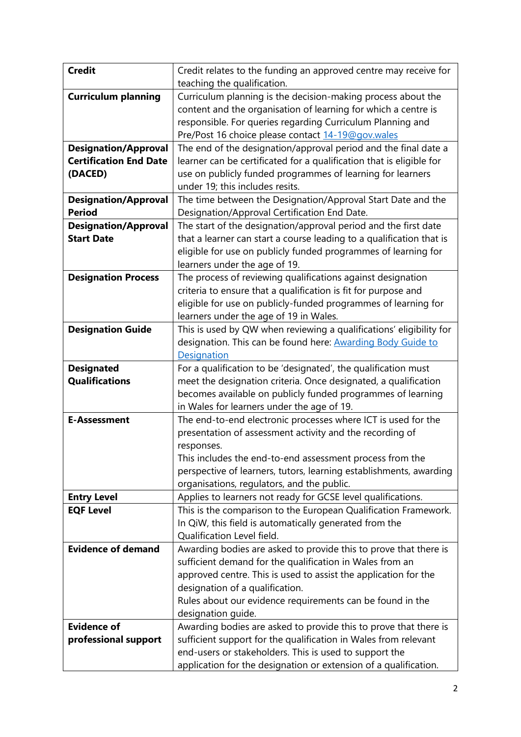| <b>Credit</b>                 | Credit relates to the funding an approved centre may receive for     |
|-------------------------------|----------------------------------------------------------------------|
|                               | teaching the qualification.                                          |
| <b>Curriculum planning</b>    | Curriculum planning is the decision-making process about the         |
|                               | content and the organisation of learning for which a centre is       |
|                               | responsible. For queries regarding Curriculum Planning and           |
|                               | Pre/Post 16 choice please contact 14-19@gov.wales                    |
| <b>Designation/Approval</b>   | The end of the designation/approval period and the final date a      |
| <b>Certification End Date</b> | learner can be certificated for a qualification that is eligible for |
| (DACED)                       | use on publicly funded programmes of learning for learners           |
|                               | under 19; this includes resits.                                      |
| <b>Designation/Approval</b>   | The time between the Designation/Approval Start Date and the         |
| <b>Period</b>                 | Designation/Approval Certification End Date.                         |
| <b>Designation/Approval</b>   | The start of the designation/approval period and the first date      |
| <b>Start Date</b>             | that a learner can start a course leading to a qualification that is |
|                               | eligible for use on publicly funded programmes of learning for       |
|                               | learners under the age of 19.                                        |
| <b>Designation Process</b>    | The process of reviewing qualifications against designation          |
|                               | criteria to ensure that a qualification is fit for purpose and       |
|                               | eligible for use on publicly-funded programmes of learning for       |
|                               | learners under the age of 19 in Wales.                               |
| <b>Designation Guide</b>      | This is used by QW when reviewing a qualifications' eligibility for  |
|                               | designation. This can be found here: <b>Awarding Body Guide to</b>   |
|                               | Designation                                                          |
| <b>Designated</b>             | For a qualification to be 'designated', the qualification must       |
| <b>Qualifications</b>         | meet the designation criteria. Once designated, a qualification      |
|                               | becomes available on publicly funded programmes of learning          |
|                               | in Wales for learners under the age of 19.                           |
| <b>E-Assessment</b>           | The end-to-end electronic processes where ICT is used for the        |
|                               | presentation of assessment activity and the recording of             |
|                               | responses.                                                           |
|                               | This includes the end-to-end assessment process from the             |
|                               | perspective of learners, tutors, learning establishments, awarding   |
|                               | organisations, regulators, and the public.                           |
| <b>Entry Level</b>            | Applies to learners not ready for GCSE level qualifications.         |
| <b>EQF Level</b>              | This is the comparison to the European Qualification Framework.      |
|                               | In QiW, this field is automatically generated from the               |
| <b>Evidence of demand</b>     | Qualification Level field.                                           |
|                               | Awarding bodies are asked to provide this to prove that there is     |
|                               | sufficient demand for the qualification in Wales from an             |
|                               | approved centre. This is used to assist the application for the      |
|                               | designation of a qualification.                                      |
|                               | Rules about our evidence requirements can be found in the            |
|                               | designation guide.                                                   |
| <b>Evidence of</b>            | Awarding bodies are asked to provide this to prove that there is     |
| professional support          | sufficient support for the qualification in Wales from relevant      |
|                               | end-users or stakeholders. This is used to support the               |
|                               | application for the designation or extension of a qualification.     |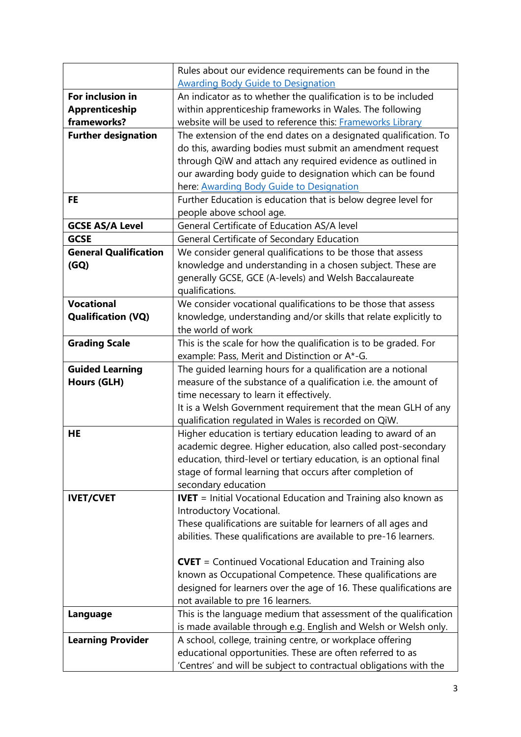|                              | Rules about our evidence requirements can be found in the             |
|------------------------------|-----------------------------------------------------------------------|
|                              | <b>Awarding Body Guide to Designation</b>                             |
| For inclusion in             | An indicator as to whether the qualification is to be included        |
| Apprenticeship               | within apprenticeship frameworks in Wales. The following              |
| frameworks?                  | website will be used to reference this: Frameworks Library            |
| <b>Further designation</b>   | The extension of the end dates on a designated qualification. To      |
|                              | do this, awarding bodies must submit an amendment request             |
|                              | through QiW and attach any required evidence as outlined in           |
|                              | our awarding body quide to designation which can be found             |
|                              | here: <b>Awarding Body Guide to Designation</b>                       |
| <b>FE</b>                    | Further Education is education that is below degree level for         |
|                              | people above school age.                                              |
| <b>GCSE AS/A Level</b>       | General Certificate of Education AS/A level                           |
| <b>GCSE</b>                  |                                                                       |
|                              | General Certificate of Secondary Education                            |
| <b>General Qualification</b> | We consider general qualifications to be those that assess            |
| (GQ)                         | knowledge and understanding in a chosen subject. These are            |
|                              | generally GCSE, GCE (A-levels) and Welsh Baccalaureate                |
|                              | qualifications.                                                       |
| <b>Vocational</b>            | We consider vocational qualifications to be those that assess         |
| <b>Qualification (VQ)</b>    | knowledge, understanding and/or skills that relate explicitly to      |
|                              | the world of work                                                     |
| <b>Grading Scale</b>         | This is the scale for how the qualification is to be graded. For      |
|                              | example: Pass, Merit and Distinction or A*-G.                         |
| <b>Guided Learning</b>       | The guided learning hours for a qualification are a notional          |
| <b>Hours (GLH)</b>           | measure of the substance of a qualification i.e. the amount of        |
|                              | time necessary to learn it effectively.                               |
|                              | It is a Welsh Government requirement that the mean GLH of any         |
|                              | qualification regulated in Wales is recorded on QiW.                  |
| HE                           | Higher education is tertiary education leading to award of an         |
|                              | academic degree. Higher education, also called post-secondary         |
|                              | education, third-level or tertiary education, is an optional final    |
|                              | stage of formal learning that occurs after completion of              |
|                              | secondary education                                                   |
| <b>IVET/CVET</b>             | <b>IVET</b> = Initial Vocational Education and Training also known as |
|                              | Introductory Vocational.                                              |
|                              | These qualifications are suitable for learners of all ages and        |
|                              | abilities. These qualifications are available to pre-16 learners.     |
|                              |                                                                       |
|                              | <b>CVET</b> = Continued Vocational Education and Training also        |
|                              | known as Occupational Competence. These qualifications are            |
|                              | designed for learners over the age of 16. These qualifications are    |
|                              | not available to pre 16 learners.                                     |
| Language                     | This is the language medium that assessment of the qualification      |
|                              | is made available through e.g. English and Welsh or Welsh only.       |
| <b>Learning Provider</b>     | A school, college, training centre, or workplace offering             |
|                              | educational opportunities. These are often referred to as             |
|                              | 'Centres' and will be subject to contractual obligations with the     |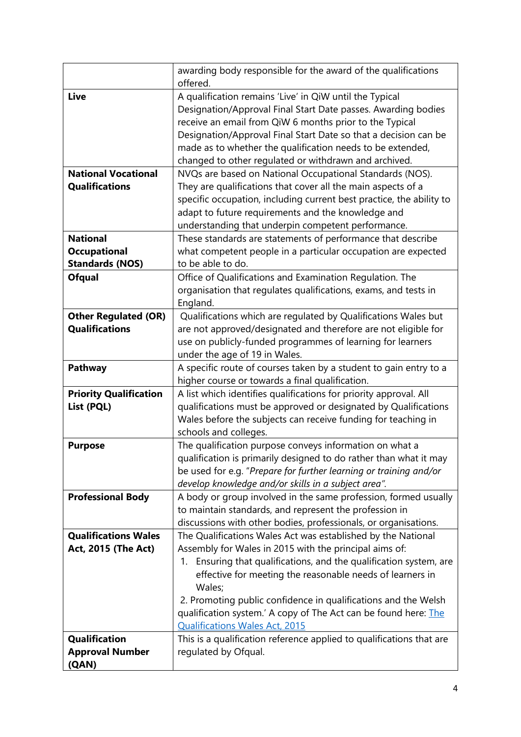|                               | awarding body responsible for the award of the qualifications        |
|-------------------------------|----------------------------------------------------------------------|
|                               | offered.                                                             |
| <b>Live</b>                   | A qualification remains 'Live' in QiW until the Typical              |
|                               | Designation/Approval Final Start Date passes. Awarding bodies        |
|                               | receive an email from QiW 6 months prior to the Typical              |
|                               | Designation/Approval Final Start Date so that a decision can be      |
|                               | made as to whether the qualification needs to be extended,           |
|                               | changed to other regulated or withdrawn and archived.                |
| <b>National Vocational</b>    | NVQs are based on National Occupational Standards (NOS).             |
| <b>Qualifications</b>         | They are qualifications that cover all the main aspects of a         |
|                               | specific occupation, including current best practice, the ability to |
|                               | adapt to future requirements and the knowledge and                   |
|                               | understanding that underpin competent performance.                   |
| <b>National</b>               | These standards are statements of performance that describe          |
| <b>Occupational</b>           | what competent people in a particular occupation are expected        |
| <b>Standards (NOS)</b>        | to be able to do.                                                    |
| <b>Ofqual</b>                 | Office of Qualifications and Examination Regulation. The             |
|                               | organisation that regulates qualifications, exams, and tests in      |
|                               | England.                                                             |
| <b>Other Regulated (OR)</b>   | Qualifications which are regulated by Qualifications Wales but       |
| <b>Qualifications</b>         | are not approved/designated and therefore are not eligible for       |
|                               | use on publicly-funded programmes of learning for learners           |
|                               | under the age of 19 in Wales.                                        |
| <b>Pathway</b>                | A specific route of courses taken by a student to gain entry to a    |
|                               | higher course or towards a final qualification.                      |
| <b>Priority Qualification</b> | A list which identifies qualifications for priority approval. All    |
| List (PQL)                    | qualifications must be approved or designated by Qualifications      |
|                               | Wales before the subjects can receive funding for teaching in        |
|                               | schools and colleges.                                                |
| <b>Purpose</b>                | The qualification purpose conveys information on what a              |
|                               | qualification is primarily designed to do rather than what it may    |
|                               | be used for e.g. "Prepare for further learning or training and/or    |
|                               | develop knowledge and/or skills in a subject area".                  |
| <b>Professional Body</b>      | A body or group involved in the same profession, formed usually      |
|                               | to maintain standards, and represent the profession in               |
|                               | discussions with other bodies, professionals, or organisations.      |
| <b>Qualifications Wales</b>   | The Qualifications Wales Act was established by the National         |
| <b>Act, 2015 (The Act)</b>    | Assembly for Wales in 2015 with the principal aims of:               |
|                               | 1. Ensuring that qualifications, and the qualification system, are   |
|                               | effective for meeting the reasonable needs of learners in            |
|                               | Wales;                                                               |
|                               | 2. Promoting public confidence in qualifications and the Welsh       |
|                               | qualification system.' A copy of The Act can be found here: The      |
|                               | <b>Qualifications Wales Act, 2015</b>                                |
| <b>Qualification</b>          | This is a qualification reference applied to qualifications that are |
| <b>Approval Number</b>        | regulated by Ofqual.                                                 |
| (QAN)                         |                                                                      |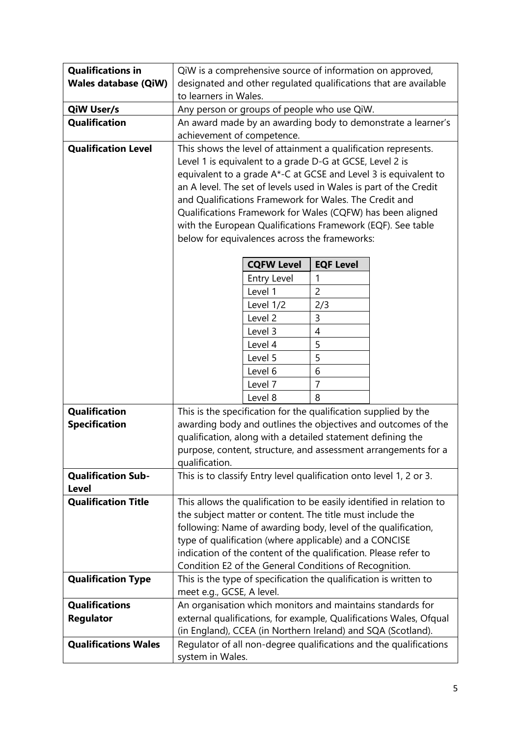| <b>Qualifications in</b>                  |                                                                                                                                      | QiW is a comprehensive source of information on approved,           |                  |                                                                      |
|-------------------------------------------|--------------------------------------------------------------------------------------------------------------------------------------|---------------------------------------------------------------------|------------------|----------------------------------------------------------------------|
| <b>Wales database (QiW)</b>               | designated and other regulated qualifications that are available                                                                     |                                                                     |                  |                                                                      |
|                                           | to learners in Wales.                                                                                                                |                                                                     |                  |                                                                      |
| QiW User/s                                | Any person or groups of people who use QiW.                                                                                          |                                                                     |                  |                                                                      |
| <b>Qualification</b>                      |                                                                                                                                      | An award made by an awarding body to demonstrate a learner's        |                  |                                                                      |
|                                           | achievement of competence.                                                                                                           |                                                                     |                  |                                                                      |
| <b>Qualification Level</b>                | This shows the level of attainment a qualification represents.                                                                       |                                                                     |                  |                                                                      |
|                                           |                                                                                                                                      | Level 1 is equivalent to a grade D-G at GCSE, Level 2 is            |                  |                                                                      |
|                                           |                                                                                                                                      |                                                                     |                  |                                                                      |
|                                           | equivalent to a grade A*-C at GCSE and Level 3 is equivalent to<br>an A level. The set of levels used in Wales is part of the Credit |                                                                     |                  |                                                                      |
|                                           | and Qualifications Framework for Wales. The Credit and                                                                               |                                                                     |                  |                                                                      |
|                                           |                                                                                                                                      |                                                                     |                  |                                                                      |
|                                           | Qualifications Framework for Wales (CQFW) has been aligned<br>with the European Qualifications Framework (EQF). See table            |                                                                     |                  |                                                                      |
|                                           |                                                                                                                                      | below for equivalences across the frameworks:                       |                  |                                                                      |
|                                           |                                                                                                                                      |                                                                     |                  |                                                                      |
|                                           |                                                                                                                                      | <b>CQFW Level</b>                                                   | <b>EQF Level</b> |                                                                      |
|                                           |                                                                                                                                      | <b>Entry Level</b>                                                  | 1                |                                                                      |
|                                           |                                                                                                                                      | Level 1                                                             | $\overline{c}$   |                                                                      |
|                                           |                                                                                                                                      | Level 1/2                                                           | 2/3              |                                                                      |
|                                           |                                                                                                                                      | Level <sub>2</sub>                                                  | 3                |                                                                      |
|                                           |                                                                                                                                      | Level 3                                                             | 4                |                                                                      |
|                                           |                                                                                                                                      | Level 4                                                             | 5                |                                                                      |
|                                           |                                                                                                                                      | Level 5                                                             | 5                |                                                                      |
|                                           |                                                                                                                                      | Level 6                                                             | 6                |                                                                      |
|                                           |                                                                                                                                      | Level 7                                                             | 7                |                                                                      |
|                                           |                                                                                                                                      | Level 8                                                             | 8                |                                                                      |
| Qualification                             |                                                                                                                                      | This is the specification for the qualification supplied by the     |                  |                                                                      |
| <b>Specification</b>                      | awarding body and outlines the objectives and outcomes of the                                                                        |                                                                     |                  |                                                                      |
|                                           | qualification, along with a detailed statement defining the                                                                          |                                                                     |                  |                                                                      |
|                                           | purpose, content, structure, and assessment arrangements for a                                                                       |                                                                     |                  |                                                                      |
|                                           | qualification.                                                                                                                       |                                                                     |                  |                                                                      |
| <b>Qualification Sub-</b><br><b>Level</b> |                                                                                                                                      | This is to classify Entry level qualification onto level 1, 2 or 3. |                  |                                                                      |
| <b>Qualification Title</b>                |                                                                                                                                      |                                                                     |                  | This allows the qualification to be easily identified in relation to |
|                                           |                                                                                                                                      | the subject matter or content. The title must include the           |                  |                                                                      |
|                                           |                                                                                                                                      | following: Name of awarding body, level of the qualification,       |                  |                                                                      |
|                                           |                                                                                                                                      | type of qualification (where applicable) and a CONCISE              |                  |                                                                      |
|                                           |                                                                                                                                      | indication of the content of the qualification. Please refer to     |                  |                                                                      |
|                                           |                                                                                                                                      | Condition E2 of the General Conditions of Recognition.              |                  |                                                                      |
| <b>Qualification Type</b>                 |                                                                                                                                      | This is the type of specification the qualification is written to   |                  |                                                                      |
|                                           | meet e.g., GCSE, A level.                                                                                                            |                                                                     |                  |                                                                      |
| <b>Qualifications</b>                     |                                                                                                                                      |                                                                     |                  |                                                                      |
| <b>Regulator</b>                          | An organisation which monitors and maintains standards for<br>external qualifications, for example, Qualifications Wales, Ofqual     |                                                                     |                  |                                                                      |
|                                           |                                                                                                                                      | (in England), CCEA (in Northern Ireland) and SQA (Scotland).        |                  |                                                                      |
| <b>Qualifications Wales</b>               | Regulator of all non-degree qualifications and the qualifications                                                                    |                                                                     |                  |                                                                      |
|                                           |                                                                                                                                      | system in Wales.                                                    |                  |                                                                      |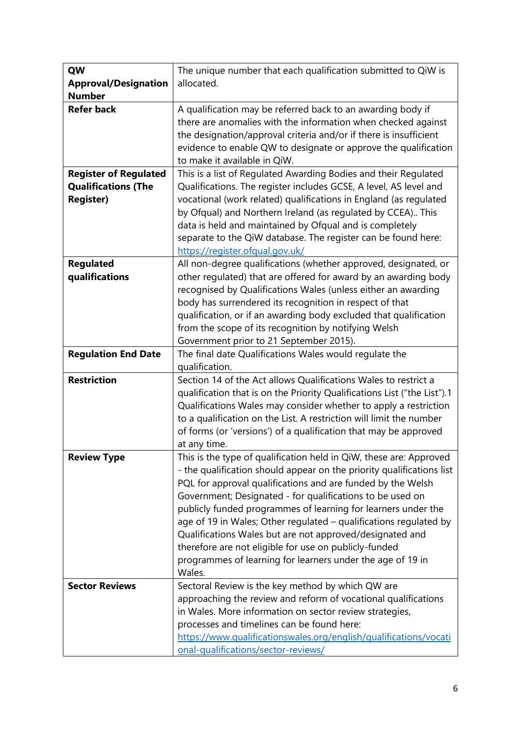| QW                           | The unique number that each qualification submitted to QiW is            |
|------------------------------|--------------------------------------------------------------------------|
| <b>Approval/Designation</b>  | allocated.                                                               |
| <b>Number</b>                |                                                                          |
| <b>Refer back</b>            | A qualification may be referred back to an awarding body if              |
|                              | there are anomalies with the information when checked against            |
|                              | the designation/approval criteria and/or if there is insufficient        |
|                              | evidence to enable QW to designate or approve the qualification          |
|                              | to make it available in QiW.                                             |
| <b>Register of Regulated</b> | This is a list of Regulated Awarding Bodies and their Regulated          |
| <b>Qualifications (The</b>   | Qualifications. The register includes GCSE, A level, AS level and        |
| <b>Register)</b>             | vocational (work related) qualifications in England (as regulated        |
|                              | by Ofqual) and Northern Ireland (as regulated by CCEA) This              |
|                              | data is held and maintained by Ofqual and is completely                  |
|                              | separate to the QiW database. The register can be found here:            |
|                              | https://register.ofqual.gov.uk/                                          |
| <b>Regulated</b>             | All non-degree qualifications (whether approved, designated, or          |
| qualifications               | other regulated) that are offered for award by an awarding body          |
|                              | recognised by Qualifications Wales (unless either an awarding            |
|                              | body has surrendered its recognition in respect of that                  |
|                              | qualification, or if an awarding body excluded that qualification        |
|                              | from the scope of its recognition by notifying Welsh                     |
|                              | Government prior to 21 September 2015).                                  |
| <b>Regulation End Date</b>   | The final date Qualifications Wales would regulate the                   |
|                              | qualification.                                                           |
| <b>Restriction</b>           | Section 14 of the Act allows Qualifications Wales to restrict a          |
|                              | qualification that is on the Priority Qualifications List ("the List").1 |
|                              | Qualifications Wales may consider whether to apply a restriction         |
|                              | to a qualification on the List. A restriction will limit the number      |
|                              | of forms (or 'versions') of a qualification that may be approved         |
|                              | at any time.                                                             |
| <b>Review Type</b>           | This is the type of qualification held in QiW, these are: Approved       |
|                              | - the qualification should appear on the priority qualifications list    |
|                              | PQL for approval qualifications and are funded by the Welsh              |
|                              | Government; Designated - for qualifications to be used on                |
|                              | publicly funded programmes of learning for learners under the            |
|                              | age of 19 in Wales; Other regulated - qualifications regulated by        |
|                              | Qualifications Wales but are not approved/designated and                 |
|                              | therefore are not eligible for use on publicly-funded                    |
|                              | programmes of learning for learners under the age of 19 in               |
|                              | Wales.                                                                   |
| <b>Sector Reviews</b>        | Sectoral Review is the key method by which QW are                        |
|                              | approaching the review and reform of vocational qualifications           |
|                              | in Wales. More information on sector review strategies,                  |
|                              | processes and timelines can be found here:                               |
|                              |                                                                          |
|                              | https://www.qualificationswales.org/english/qualifications/vocati        |
|                              | onal-qualifications/sector-reviews/                                      |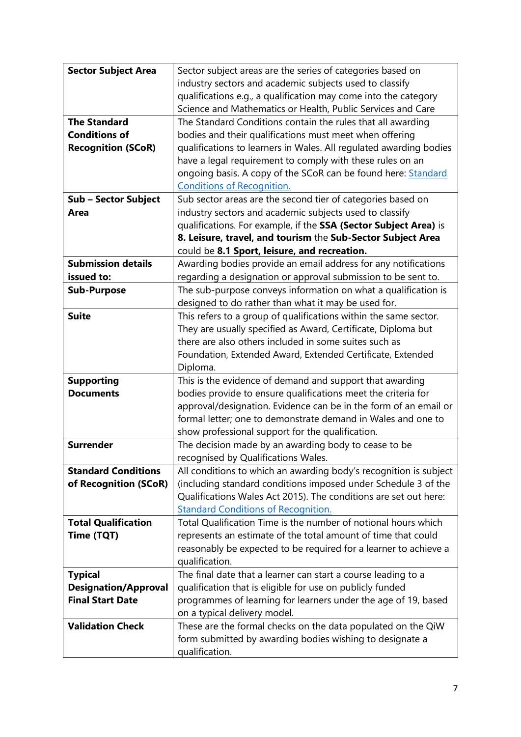| <b>Sector Subject Area</b>  | Sector subject areas are the series of categories based on         |
|-----------------------------|--------------------------------------------------------------------|
|                             | industry sectors and academic subjects used to classify            |
|                             | qualifications e.g., a qualification may come into the category    |
|                             | Science and Mathematics or Health, Public Services and Care        |
| <b>The Standard</b>         | The Standard Conditions contain the rules that all awarding        |
| <b>Conditions of</b>        | bodies and their qualifications must meet when offering            |
| <b>Recognition (SCoR)</b>   | qualifications to learners in Wales. All regulated awarding bodies |
|                             | have a legal requirement to comply with these rules on an          |
|                             | ongoing basis. A copy of the SCoR can be found here: Standard      |
|                             | <b>Conditions of Recognition.</b>                                  |
| <b>Sub - Sector Subject</b> | Sub sector areas are the second tier of categories based on        |
| Area                        | industry sectors and academic subjects used to classify            |
|                             | qualifications. For example, if the SSA (Sector Subject Area) is   |
|                             | 8. Leisure, travel, and tourism the Sub-Sector Subject Area        |
|                             | could be 8.1 Sport, leisure, and recreation.                       |
| <b>Submission details</b>   | Awarding bodies provide an email address for any notifications     |
| issued to:                  | regarding a designation or approval submission to be sent to.      |
| <b>Sub-Purpose</b>          | The sub-purpose conveys information on what a qualification is     |
|                             | designed to do rather than what it may be used for.                |
| <b>Suite</b>                | This refers to a group of qualifications within the same sector.   |
|                             | They are usually specified as Award, Certificate, Diploma but      |
|                             | there are also others included in some suites such as              |
|                             | Foundation, Extended Award, Extended Certificate, Extended         |
|                             | Diploma.                                                           |
| <b>Supporting</b>           | This is the evidence of demand and support that awarding           |
| <b>Documents</b>            | bodies provide to ensure qualifications meet the criteria for      |
|                             | approval/designation. Evidence can be in the form of an email or   |
|                             | formal letter; one to demonstrate demand in Wales and one to       |
|                             | show professional support for the qualification.                   |
| <b>Surrender</b>            | The decision made by an awarding body to cease to be               |
|                             | recognised by Qualifications Wales.                                |
| <b>Standard Conditions</b>  | All conditions to which an awarding body's recognition is subject  |
| of Recognition (SCoR)       | (including standard conditions imposed under Schedule 3 of the     |
|                             | Qualifications Wales Act 2015). The conditions are set out here:   |
|                             | <b>Standard Conditions of Recognition.</b>                         |
| <b>Total Qualification</b>  | Total Qualification Time is the number of notional hours which     |
| Time (TQT)                  | represents an estimate of the total amount of time that could      |
|                             | reasonably be expected to be required for a learner to achieve a   |
|                             | qualification.                                                     |
| <b>Typical</b>              | The final date that a learner can start a course leading to a      |
| <b>Designation/Approval</b> | qualification that is eligible for use on publicly funded          |
| <b>Final Start Date</b>     | programmes of learning for learners under the age of 19, based     |
|                             | on a typical delivery model.                                       |
| <b>Validation Check</b>     | These are the formal checks on the data populated on the QiW       |
|                             | form submitted by awarding bodies wishing to designate a           |
|                             | qualification.                                                     |